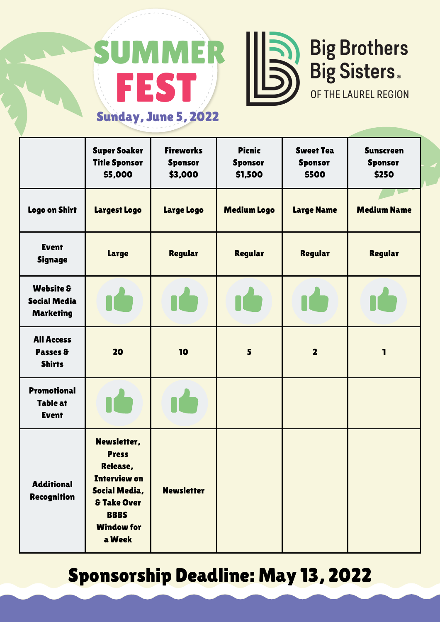## FEST **MMER** Sunday, June 5, 2022



## **Big Brothers<br>Big Sisters.**

OF THE LAUREL REGION

|                                                                 | <b>Super Soaker</b><br><b>Title Sponsor</b><br>\$5,000                                                                                                  | <b>Fireworks</b><br><b>Sponsor</b><br>\$3,000 | <b>Picnic</b><br><b>Sponsor</b><br>\$1,500 | <b>Sweet Tea</b><br><b>Sponsor</b><br>\$500 | <b>Sunscreen</b><br><b>Sponsor</b><br>\$250 |
|-----------------------------------------------------------------|---------------------------------------------------------------------------------------------------------------------------------------------------------|-----------------------------------------------|--------------------------------------------|---------------------------------------------|---------------------------------------------|
| <b>Logo on Shirt</b>                                            | Largest Logo                                                                                                                                            | <b>Large Logo</b>                             | <b>Medium Logo</b>                         | <b>Large Name</b>                           | <b>Medium Name</b>                          |
| <b>Event</b><br>Signage                                         | Large                                                                                                                                                   | Regular                                       | Regular                                    | Regular                                     | <b>Regular</b>                              |
| <b>Website &amp;</b><br><b>Social Media</b><br><b>Marketing</b> |                                                                                                                                                         |                                               |                                            |                                             |                                             |
| <b>All Access</b><br>Passes &<br><b>Shirts</b>                  | 20                                                                                                                                                      | 10                                            | 5                                          | $\overline{\mathbf{2}}$                     | 1                                           |
| <b>Promotional</b><br><b>Table at</b><br><b>Event</b>           |                                                                                                                                                         |                                               |                                            |                                             |                                             |
| <b>Additional</b><br><b>Recognition</b>                         | Newsletter,<br><b>Press</b><br>Release,<br><b>Interview on</b><br>Social Media,<br><b>&amp; Take Over</b><br><b>BBBS</b><br><b>Window for</b><br>a Week | <b>Newsletter</b>                             |                                            |                                             |                                             |

## Sponsorship Deadline: May 13, 2022